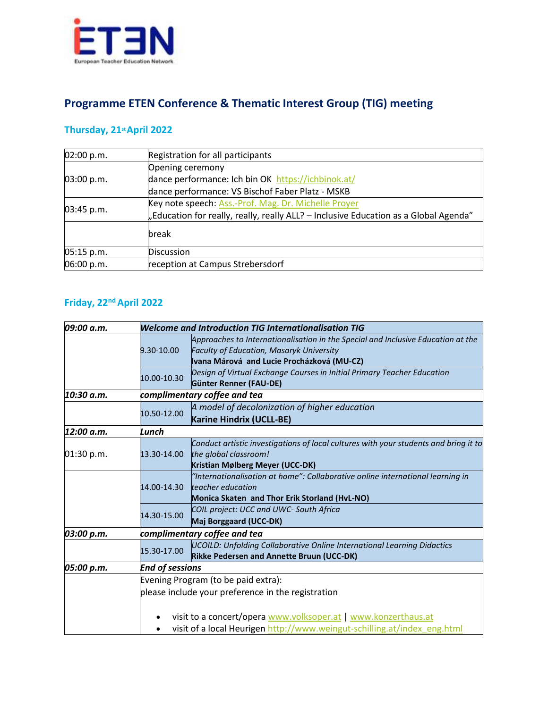

## **Programme ETEN Conference & Thematic Interest Group (TIG) meeting**

## **Thursday, 21stApril 2022**

| 02:00 p.m. | Registration for all participants                                                    |  |  |
|------------|--------------------------------------------------------------------------------------|--|--|
|            | Opening ceremony                                                                     |  |  |
| 03:00 p.m. | dance performance: Ich bin OK https://ichbinok.at/                                   |  |  |
|            | dance performance: VS Bischof Faber Platz - MSKB                                     |  |  |
| 03:45 p.m. | Key note speech: Ass.-Prof. Mag. Dr. Michelle Proyer                                 |  |  |
|            | "Education for really, really, really ALL? - Inclusive Education as a Global Agenda" |  |  |
|            | break                                                                                |  |  |
| 05:15 p.m. | <b>Discussion</b>                                                                    |  |  |
| 06:00 p.m. | reception at Campus Strebersdorf                                                     |  |  |

## **Friday, 22ndApril 2022**

| 09:00 a.m. | <b>Welcome and Introduction TIG Internationalisation TIG</b>   |                                                                                      |  |  |
|------------|----------------------------------------------------------------|--------------------------------------------------------------------------------------|--|--|
|            | 9.30-10.00                                                     | Approaches to Internationalisation in the Special and Inclusive Education at the     |  |  |
|            |                                                                | Faculty of Education, Masaryk University                                             |  |  |
|            |                                                                | Ivana Márová and Lucie Procházková (MU-CZ)                                           |  |  |
|            | 10.00-10.30                                                    | Design of Virtual Exchange Courses in Initial Primary Teacher Education              |  |  |
|            |                                                                | Günter Renner (FAU-DE)                                                               |  |  |
| 10:30 a.m. | complimentary coffee and tea                                   |                                                                                      |  |  |
|            | 10.50-12.00                                                    | A model of decolonization of higher education                                        |  |  |
|            |                                                                | Karine Hindrix (UCLL-BE)                                                             |  |  |
| 12:00 a.m. | Lunch                                                          |                                                                                      |  |  |
|            | 13.30-14.00                                                    | Conduct artistic investigations of local cultures with your students and bring it to |  |  |
| 01:30 p.m. |                                                                | the global classroom!                                                                |  |  |
|            |                                                                | Kristian Mølberg Meyer (UCC-DK)                                                      |  |  |
|            | 14.00-14.30                                                    | "Internationalisation at home": Collaborative online international learning in       |  |  |
|            |                                                                | teacher education                                                                    |  |  |
|            |                                                                | Monica Skaten and Thor Erik Storland (HvL-NO)                                        |  |  |
|            | 14.30-15.00                                                    | COIL project: UCC and UWC- South Africa                                              |  |  |
|            |                                                                | Maj Borggaard (UCC-DK)                                                               |  |  |
| 03:00 p.m. | complimentary coffee and tea                                   |                                                                                      |  |  |
|            | 15.30-17.00                                                    | <b>UCOILD: Unfolding Collaborative Online International Learning Didactics</b>       |  |  |
|            |                                                                | Rikke Pedersen and Annette Bruun (UCC-DK)                                            |  |  |
| 05:00 p.m. | <b>End of sessions</b>                                         |                                                                                      |  |  |
|            | Evening Program (to be paid extra):                            |                                                                                      |  |  |
|            | please include your preference in the registration             |                                                                                      |  |  |
|            |                                                                |                                                                                      |  |  |
|            | visit to a concert/opera www.volksoper.at   www.konzerthaus.at |                                                                                      |  |  |
|            |                                                                | visit of a local Heurigen http://www.weingut-schilling.at/index eng.html             |  |  |